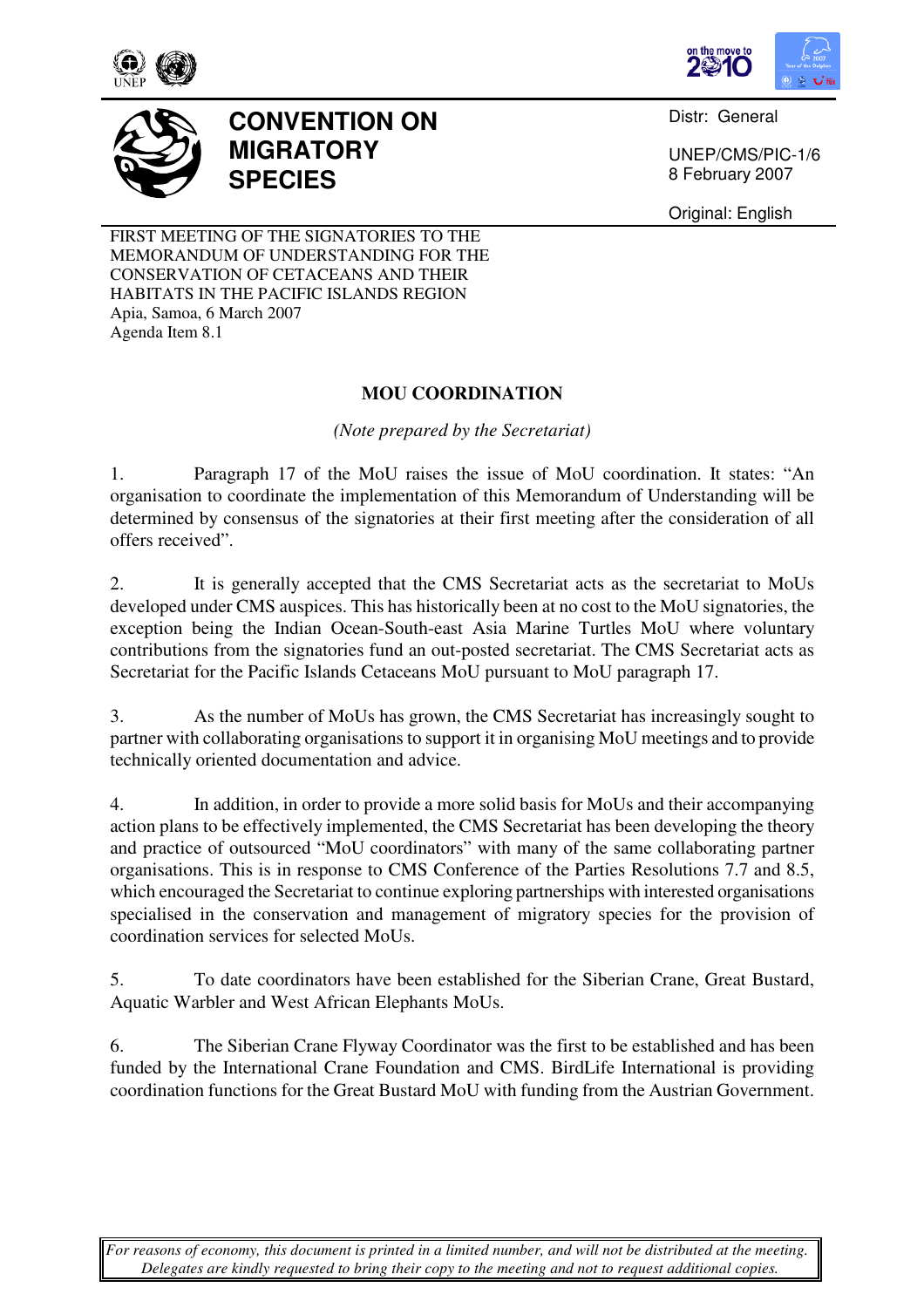



Distr: General

UNEP/CMS/PIC-1/6 8 February 2007

Original: English

FIRST MEETING OF THE SIGNATORIES TO THE MEMORANDUM OF UNDERSTANDING FOR THE CONSERVATION OF CETACEANS AND THEIR HABITATS IN THE PACIFIC ISLANDS REGION Apia, Samoa, 6 March 2007 Agenda Item 8.1

**MIGRATORY** 

**SPECIES** 

**CONVENTION ON** 

## **MOU COORDINATION**

*(Note prepared by the Secretariat)* 

1. Paragraph 17 of the MoU raises the issue of MoU coordination. It states: "An organisation to coordinate the implementation of this Memorandum of Understanding will be determined by consensus of the signatories at their first meeting after the consideration of all offers received".

2. It is generally accepted that the CMS Secretariat acts as the secretariat to MoUs developed under CMS auspices. This has historically been at no cost to the MoU signatories, the exception being the Indian Ocean-South-east Asia Marine Turtles MoU where voluntary contributions from the signatories fund an out-posted secretariat. The CMS Secretariat acts as Secretariat for the Pacific Islands Cetaceans MoU pursuant to MoU paragraph 17.

3. As the number of MoUs has grown, the CMS Secretariat has increasingly sought to partner with collaborating organisations to support it in organising MoU meetings and to provide technically oriented documentation and advice.

4. In addition, in order to provide a more solid basis for MoUs and their accompanying action plans to be effectively implemented, the CMS Secretariat has been developing the theory and practice of outsourced "MoU coordinators" with many of the same collaborating partner organisations. This is in response to CMS Conference of the Parties Resolutions 7.7 and 8.5, which encouraged the Secretariat to continue exploring partnerships with interested organisations specialised in the conservation and management of migratory species for the provision of coordination services for selected MoUs.

5. To date coordinators have been established for the Siberian Crane, Great Bustard, Aquatic Warbler and West African Elephants MoUs.

6. The Siberian Crane Flyway Coordinator was the first to be established and has been funded by the International Crane Foundation and CMS. BirdLife International is providing coordination functions for the Great Bustard MoU with funding from the Austrian Government.

*For reasons of economy, this document is printed in a limited number, and will not be distributed at the meeting. Delegates are kindly requested to bring their copy to the meeting and not to request additional copies.*